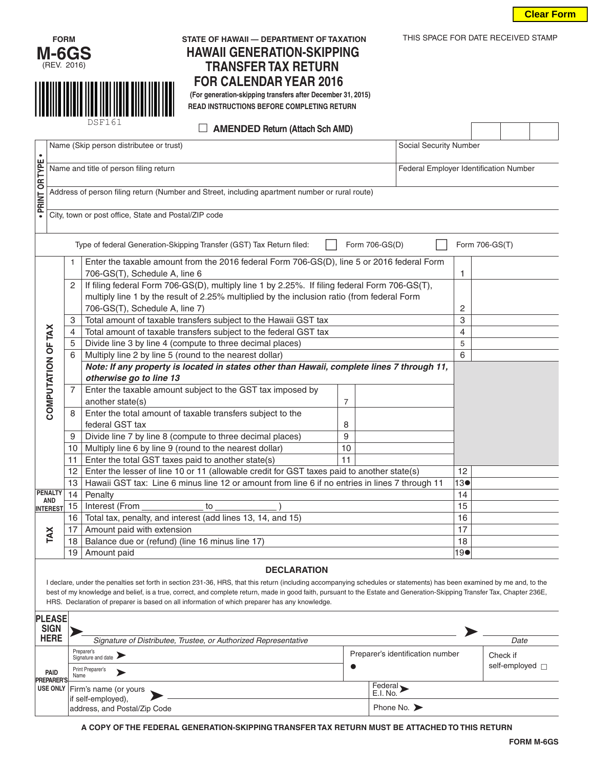



DSF161

# **FORM STATE OF HAWAII — DEPARTMENT OF TAXATION** THIS SPACE FOR DATE RECEIVED STAMP **HAWAII GENERATION-SKIPPING TRANSFER TAX RETURN FOR CALENDAR YEAR 2016 (For generation-skipping transfers after December 31, 2015)**

 **READ INSTRUCTIONS BEFORE COMPLETING RETURN**

 **AMENDED Return (Attach Sch AMD)**

| $\bullet$                                                                                                | Name (Skip person distributee or trust)<br>Social Security Number                              |                                                                                                                                                                                              |                |  |                                        |  |  |
|----------------------------------------------------------------------------------------------------------|------------------------------------------------------------------------------------------------|----------------------------------------------------------------------------------------------------------------------------------------------------------------------------------------------|----------------|--|----------------------------------------|--|--|
|                                                                                                          | Name and title of person filing return                                                         |                                                                                                                                                                                              |                |  | Federal Employer Identification Number |  |  |
| · PRINT OR TYPE                                                                                          | Address of person filing return (Number and Street, including apartment number or rural route) |                                                                                                                                                                                              |                |  |                                        |  |  |
|                                                                                                          |                                                                                                | City, town or post office, State and Postal/ZIP code                                                                                                                                         |                |  |                                        |  |  |
| Form 706-GS(D)<br>Type of federal Generation-Skipping Transfer (GST) Tax Return filed:<br>Form 706-GS(T) |                                                                                                |                                                                                                                                                                                              |                |  |                                        |  |  |
| COMPUTATION OF TAX                                                                                       | 1                                                                                              | Enter the taxable amount from the 2016 federal Form 706-GS(D), line 5 or 2016 federal Form<br>706-GS(T), Schedule A, line 6                                                                  |                |  | 1                                      |  |  |
|                                                                                                          | 2                                                                                              | If filing federal Form 706-GS(D), multiply line 1 by 2.25%. If filing federal Form 706-GS(T),<br>multiply line 1 by the result of 2.25% multiplied by the inclusion ratio (from federal Form |                |  |                                        |  |  |
|                                                                                                          |                                                                                                | 706-GS(T), Schedule A, line 7)                                                                                                                                                               | 2              |  |                                        |  |  |
|                                                                                                          | 3                                                                                              | Total amount of taxable transfers subject to the Hawaii GST tax                                                                                                                              | 3              |  |                                        |  |  |
|                                                                                                          | 4                                                                                              | Total amount of taxable transfers subject to the federal GST tax                                                                                                                             | $\overline{4}$ |  |                                        |  |  |
|                                                                                                          | 5                                                                                              | Divide line 3 by line 4 (compute to three decimal places)                                                                                                                                    |                |  | 5                                      |  |  |
|                                                                                                          | 6                                                                                              | Multiply line 2 by line 5 (round to the nearest dollar)                                                                                                                                      | 6              |  |                                        |  |  |
|                                                                                                          |                                                                                                | Note: If any property is located in states other than Hawaii, complete lines 7 through 11,<br>otherwise go to line 13                                                                        |                |  |                                        |  |  |
|                                                                                                          | $\overline{7}$                                                                                 | Enter the taxable amount subject to the GST tax imposed by                                                                                                                                   |                |  |                                        |  |  |
|                                                                                                          |                                                                                                | another state(s)                                                                                                                                                                             | $\overline{7}$ |  |                                        |  |  |
|                                                                                                          | 8                                                                                              | Enter the total amount of taxable transfers subject to the                                                                                                                                   |                |  |                                        |  |  |
|                                                                                                          |                                                                                                | federal GST tax                                                                                                                                                                              | 8              |  |                                        |  |  |
|                                                                                                          | 9                                                                                              | Divide line 7 by line 8 (compute to three decimal places)                                                                                                                                    | 9              |  |                                        |  |  |
|                                                                                                          | 10                                                                                             | Multiply line 6 by line 9 (round to the nearest dollar)                                                                                                                                      | 10             |  |                                        |  |  |
|                                                                                                          | 11                                                                                             | Enter the total GST taxes paid to another state(s)                                                                                                                                           | 11             |  |                                        |  |  |
|                                                                                                          | 12                                                                                             | Enter the lesser of line 10 or 11 (allowable credit for GST taxes paid to another state(s)                                                                                                   | 12             |  |                                        |  |  |
|                                                                                                          | 13                                                                                             | Hawaii GST tax: Line 6 minus line 12 or amount from line 6 if no entries in lines 7 through 11                                                                                               | 130            |  |                                        |  |  |
| <b>PENALTY</b>                                                                                           | 14                                                                                             | Penalty                                                                                                                                                                                      |                |  | 14                                     |  |  |
| <b>AND</b><br><b>INTEREST</b>                                                                            | 15                                                                                             | Interest (From<br>to                                                                                                                                                                         | 15             |  |                                        |  |  |
|                                                                                                          | 16                                                                                             | Total tax, penalty, and interest (add lines 13, 14, and 15)                                                                                                                                  |                |  | 16                                     |  |  |
|                                                                                                          | 17                                                                                             | Amount paid with extension                                                                                                                                                                   | 17             |  |                                        |  |  |
| TAX                                                                                                      | 18                                                                                             | Balance due or (refund) (line 16 minus line 17)                                                                                                                                              | 18             |  |                                        |  |  |
|                                                                                                          | 19                                                                                             | Amount paid                                                                                                                                                                                  | 19             |  |                                        |  |  |
| <b>DECLARATION</b><br>0.202100                                                                           |                                                                                                |                                                                                                                                                                                              |                |  |                                        |  |  |

are, under the penalties set forth in section 231-36, HRS, that this return (including accompanying schedules or statements) has been examined by me and, to the best of my knowledge and belief, is a true, correct, and complete return, made in good faith, pursuant to the Estate and Generation-Skipping Transfer Tax, Chapter 236E, HRS. Declaration of preparer is based on all information of which preparer has any knowledge.

| <b>PLEASE</b><br><b>SIGN</b>     |                                                                 |                                  |                      |
|----------------------------------|-----------------------------------------------------------------|----------------------------------|----------------------|
| <b>HERE</b>                      | Signature of Distributee, Trustee, or Authorized Representative | Date                             |                      |
|                                  | Preparer's<br>Signature and date                                | Preparer's identification number | Check if             |
| <b>PAID</b><br><b>PREPARER'S</b> | Print Preparer's<br>Name                                        |                                  | self-employed $\Box$ |
|                                  | USE ONLY Firm's name (or yours                                  | Federal<br>E.I. No.              |                      |
|                                  | if self-employed).<br>address, and Postal/Zip Code              | Phone No. $\blacktriangleright$  |                      |

**A COPY OF THE FEDERAL GENERATION-SKIPPING TRANSFER TAX RETURN MUST BE ATTACHED TO THIS RETURN**